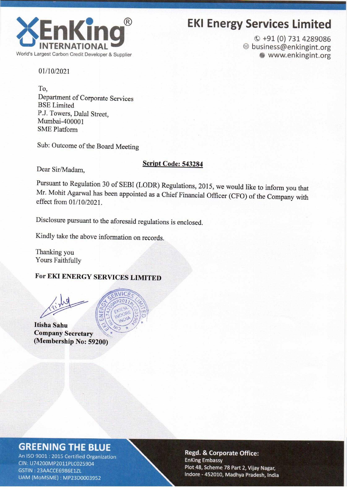

# EKI Energy Services Limited

© +91 (O) 731 4289086 ® business@enkingint.org **WWW.enkingint.org** 

01/10/2021

To, Department of Corporate Services BSE Limited P.J. Towers, Dalal Street, Mumbai-400001 SME Platform

Sub: Outcome of the Board Meeting

#### Script Code: 543284

Dear Sir/Madam,

Pursuant to Regulation 30 of SEBI (LODR) Regulations, 2015, we would like to inform you that Mr. Mohit Agarwal has been appointed as <sup>a</sup> Chief Financial Officer (CFO) of the Company with effect from 01/10/2021.

Disclosure pursuant to the aforesaid regulations is enclosed.

Kindly take the above information on records.

Thanking you Yours Faithfully

### For EKI ENERGY SERVICES LIMITED

Itisha Sahu Company Secretary (Membership No: 59200)



## **GREENING THE BLUE**

An ISO 9001 : 2015 Certified Organization CIN: U74200MP2011PLC025904 GSTIN: 23AACCE6986E1ZL UAM (MoMSME): MP23D0003952

#### Regd. & Corporate Office: **EnKing Embassy** Plot 48, Scheme 78 Part 2, Vijay Nagar, Indore - 452010, Madhya Pradesh, India